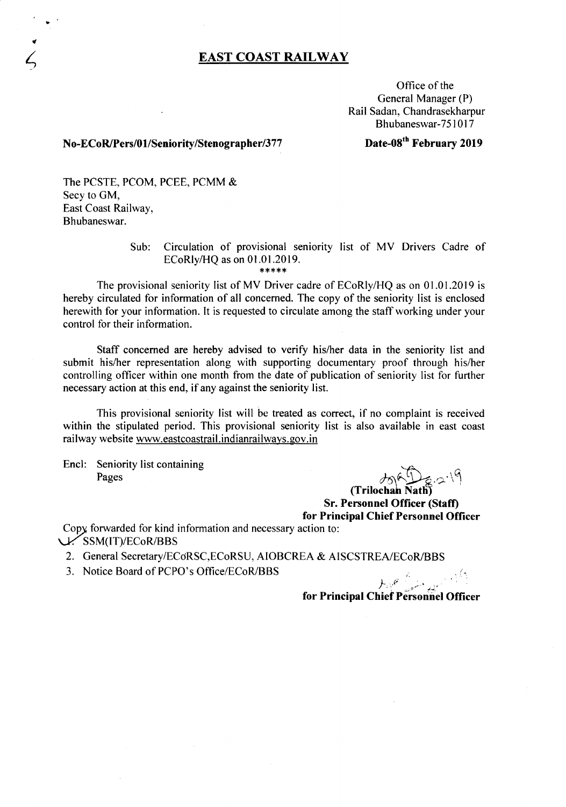# **EAST COAST RAILWAY**

Office of the General Manager (P) Rail Sadan, Chandrasekharpur Bhubaneswar-75I 017

# **N0-ECoR/Pers/O lISeniority/Stenographer/3 77**

# **Date-08th February 2019**

The PCSTE, PCOM, PCEE, PCMM & Secy to OM, East Coast Railway, Bhubaneswar.

> Sub: Circulation of provisional seniority list of MV Drivers Cadre of ECoRlylHQ as on 01.01.2019.

\*\*\*\*\*

The provisional seniority list of MY Driver cadre of ECoRly/HQ as on 01.01.2019 is hereby circulated for information of all concerned. The copy of the seniority list is enclosed herewith for your information. **It** is requested to circulate among the staff working under your control for their information.

Staff concerned are hereby advised to verify his/her data in the seniority list and submit his/her representation along with supporting documentary proof through his/her controlling officer within one month from the date of publication of seniority list for further necessary action at this end, if any against the seniority list.

This provisional seniority list will be treated as correct, if no complaint is received within the stipulated period. This provisional seniority list is also available in east coast railway website www.eastcoastrail.indianrailways.gov.in

Encl: Seniority list containing Pages *f6\^{\\_}* 

(Trilochan **Natll) Sr. Personnel Officer (Staft) for Principal Chief Personnel Officer**

Copy, forwarded for kind information and necessary action to: \...V'SSM(IT)/ECoRlBBS

2. General Secretary/ECoRSC, ECoRSU, AIOBCREA & AISCSTREA/ECoR/BBS

3. Notice Board of PCPO's Office/ECoR/BBS

 $L_{\alpha}e^{\beta}$ **for Principal** C~i~t **Perso';riel Officer**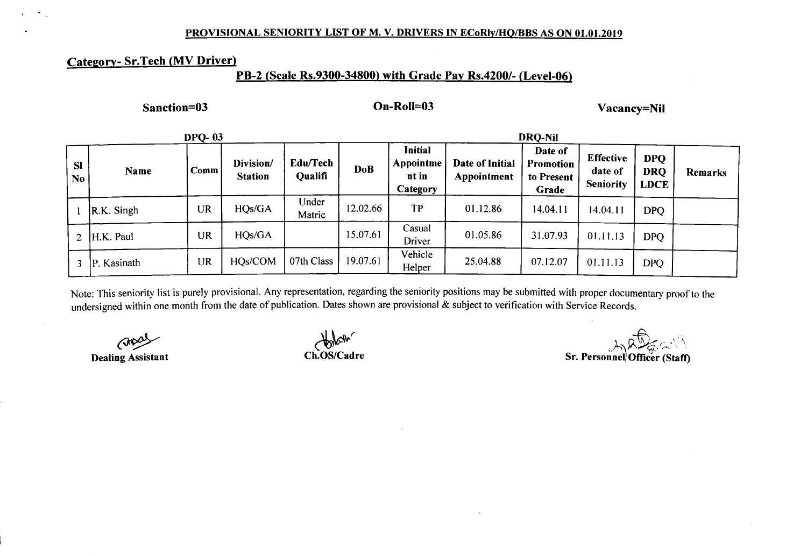### PROVISIONAL SENIORITY LIST OF M. V. DRIVERS IN ECoRly/HQ/BBS AS ON 01.01.2019

# Categorv- Sr.Tech (MV Driver)

## PB-2 (Scale Rs.9300-34800) with Grade Pay Rs.4200/- (Level-06)

Sanction=03 On-RolI=03 Vacancy=NiI

|                             |                       | <b>DPO-03</b> |                             |                            |            | <b>DRO-Nil</b>                                   |                                |                                             |                                                 |                                         |         |  |
|-----------------------------|-----------------------|---------------|-----------------------------|----------------------------|------------|--------------------------------------------------|--------------------------------|---------------------------------------------|-------------------------------------------------|-----------------------------------------|---------|--|
| <b>SI</b><br>N <sub>0</sub> | Name                  | Comm          | Division/<br><b>Station</b> | Edu/Tech<br><b>Qualifi</b> | <b>DoB</b> | <b>Initial</b><br>Appointme<br>nt in<br>Category | Date of Initial<br>Appointment | Date of<br>Promotion<br>to Present<br>Grade | <b>Effective</b><br>date of<br><b>Seniority</b> | <b>DPO</b><br><b>DRQ</b><br><b>LDCE</b> | Remarks |  |
|                             | $\mathsf{R.K.}$ Singh | <b>UR</b>     | HQs/GA                      | Under<br>Matric            | 12.02.66   | TP                                               | 01.12.86                       | 14.04.11                                    | 14.04.11                                        | <b>DPQ</b>                              |         |  |
|                             | 2 $ H.K.$ Paul        | <b>UR</b>     | HQs/GA                      |                            | 15.07.61   | Casual<br>Driver                                 | 01.05.86                       | 31.07.93                                    | 01.11.13                                        | <b>DPO</b>                              |         |  |
|                             | P. Kasinath           | UR            | HQs/COM                     | 07th Class                 | 19.07.61   | Vehicle<br>Helper                                | 25.04.88                       | 07.12.07                                    | 01.11.13                                        | <b>DPQ</b>                              |         |  |

Note: This seniority list is purely provisional. Any representation, regarding the seniority positions may be submitted with proper documentary proof to the undersigned within one month from the date of publication. Dates shown are provisional & subject to verification with Service Records.

 $\zeta$ Dealing Assistant

*~v-r* Ch.OS/Cadre

Sr. Personnel Officer (Staff)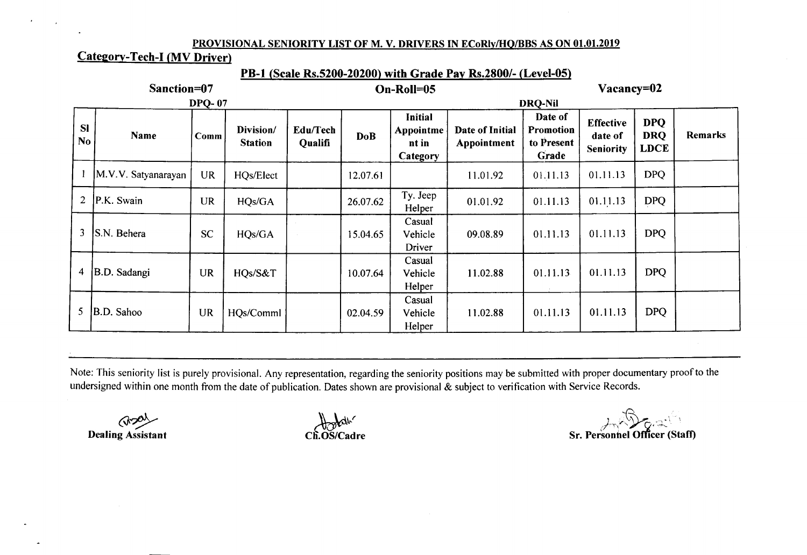### PROVISIONAL SENIORITY LIST OF M. V. DRIVERS IN ECoRly/HQ/BBS AS ON 01.01.2019

# Category-Tech-I (MV Driver)

| PB-1 (Scale Rs.5200-20200) with Grade Pay Rs.2800/- (Level-05) |                     |               |                             |                     |            |                                           |                                |                                             |                                                 |                                         |         |  |  |
|----------------------------------------------------------------|---------------------|---------------|-----------------------------|---------------------|------------|-------------------------------------------|--------------------------------|---------------------------------------------|-------------------------------------------------|-----------------------------------------|---------|--|--|
|                                                                | Sanction=07         |               |                             |                     | On-Roll=05 | Vacancy=02                                |                                |                                             |                                                 |                                         |         |  |  |
|                                                                |                     | <b>DPQ-07</b> |                             |                     |            |                                           |                                |                                             |                                                 |                                         |         |  |  |
| <b>SI</b><br>N <sub>0</sub>                                    | Name                | Comm          | Division/<br><b>Station</b> | Edu/Tech<br>Qualifi | <b>DoB</b> | Initial<br>Appointme<br>nt in<br>Category | Date of Initial<br>Appointment | Date of<br>Promotion<br>to Present<br>Grade | <b>Effective</b><br>date of<br><b>Seniority</b> | <b>DPQ</b><br><b>DRQ</b><br><b>LDCE</b> | Remarks |  |  |
|                                                                | M.V.V. Satyanarayan | <b>UR</b>     | HQs/Elect                   |                     | 12.07.61   |                                           | 11.01.92                       | 01.11.13                                    | 01.11.13                                        | <b>DPQ</b>                              |         |  |  |
| $\overline{2}$                                                 | P.K. Swain          | <b>UR</b>     | HQs/GA                      |                     | 26.07.62   | Ty. Jeep<br>Helper                        | 01.01.92                       | 01.11.13                                    | 01.11.13                                        | <b>DPQ</b>                              |         |  |  |
| 3                                                              | S.N. Behera         | <b>SC</b>     | HQs/GA                      |                     | 15.04.65   | Casual<br>Vehicle<br>Driver               | 09.08.89                       | 01.11.13                                    | 01.11.13                                        | <b>DPQ</b>                              |         |  |  |
| 4                                                              | B.D. Sadangi        | <b>UR</b>     | HQs/S&T                     |                     | 10.07.64   | Casual<br>Vehicle<br>Helper               | 11.02.88                       | 01.11.13                                    | 01.11.13                                        | <b>DPQ</b>                              |         |  |  |
| 5                                                              | B.D. Sahoo          | <b>UR</b>     | HQs/Comml                   |                     | 02.04.59   | Casual<br>Vehicle<br>Helper               | 11.02.88                       | 01.11.13                                    | 01.11.13                                        | <b>DPQ</b>                              |         |  |  |

Note: This seniority list is purely provisional. Any representation, regarding the seniority positions may be submitted with proper documentary proof to the undersigned within one month from the date of publication. Dates shown are provisional & subject to verification with Service Records.

 $\mathcal{C}$ Dealing Assistant

*~~r* Ch.OS/Cadre

 $1.5 \times 1.$ */'''\ 'YQ' ..... -* Sr. Personnel Officer (Staff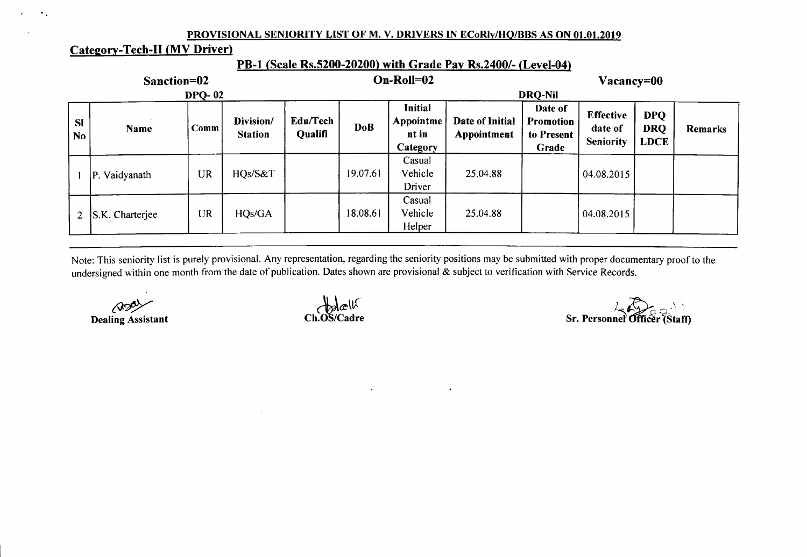### PROVISIONAL SENIORITY LIST OF M. V. DRIVERS IN ECoRly/HQ/BBS AS ON 01.01.2019

# Category- Tech-II (MV Driver)

 $\mathcal{A}_{\mathcal{A}}$ 

## PB-1 (Scale Rs.5200-20200) with Grade Pay Rs.2400/- (Level-04)

| Sanction=02     |                 |               |                             |                     |            | $On-Roll = 02$                                   | Vacancy=00                     |                                               |                                                 |                                         |         |
|-----------------|-----------------|---------------|-----------------------------|---------------------|------------|--------------------------------------------------|--------------------------------|-----------------------------------------------|-------------------------------------------------|-----------------------------------------|---------|
|                 |                 | <b>DPQ-02</b> |                             |                     |            |                                                  |                                | <b>DRO-Nil</b>                                |                                                 |                                         |         |
| SI<br><b>No</b> | <b>Name</b>     | Comm          | Division/<br><b>Station</b> | Edu/Tech<br>Qualifi | <b>DoB</b> | <b>Initial</b><br>Appointme<br>nt in<br>Category | Date of Initial<br>Appointment | Date of<br>Promotion<br>to Present '<br>Grade | <b>Effective</b><br>date of<br><b>Seniority</b> | <b>DPQ</b><br><b>DRQ</b><br><b>LDCE</b> | Remarks |
|                 | P. Vaidyanath   | <b>UR</b>     | HQs/S&T                     |                     | 19.07.61   | Casual<br>Vehicle<br>Driver                      | 25.04.88                       |                                               | 04.08.2015                                      |                                         |         |
| $\overline{2}$  | S.K. Charterjee | <b>UR</b>     | HQs/GA                      |                     | 18.08.61   | Casual<br>Vehicle<br>Helper                      | 25.04.88                       |                                               | 04.08.2015                                      |                                         |         |

Note: This seniority list is purely provisional. Any representation, regarding the seniority positions may be submitted with proper documentary proof to the undersigned within one month from the date of publication. Dates shown are provisional & subject to verification with Service Records.

 $\bullet$ 

*<u>RD</u>* Dealing Assistant

 $H$ ldell Ch.OS/Cad

 $\sum_{i=1}^n$ Sr. Personneľ Officer`